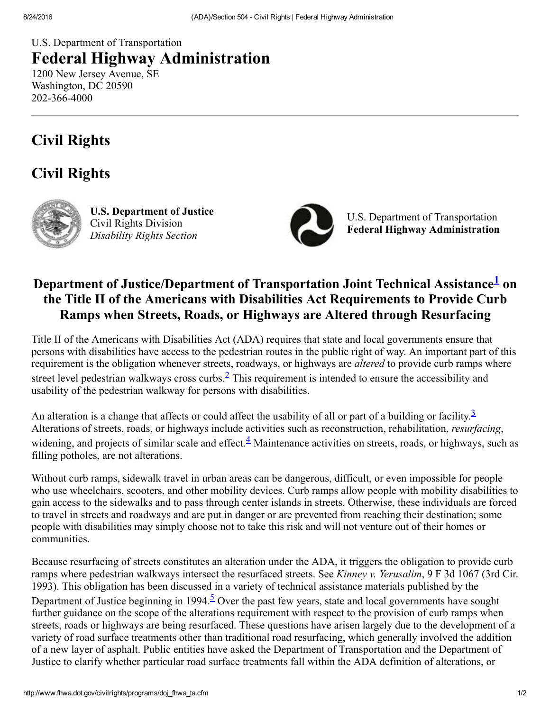U.S. Department of Transportation Federal Highway Administration 1200 New Jersey Avenue, SE Washington, DC 20590

# Civil Rights

2023664000

# Civil Rights



U.S. Department of Justice Civil Rights Division Disability Rights Section

<span id="page-0-1"></span>

<span id="page-0-2"></span><span id="page-0-0"></span>U.S. Department of Transportation Federal Highway Administration

## Department of Justice/Department of Transportation Joint Technical Assistance<sup>[1](#page-1-0)</sup> on the Title II of the Americans with Disabilities Act Requirements to Provide Curb Ramps when Streets, Roads, or Highways are Altered through Resurfacing

Title II of the Americans with Disabilities Act (ADA) requires that state and local governments ensure that persons with disabilities have access to the pedestrian routes in the public right of way. An important part of this requirement is the obligation whenever streets, roadways, or highways are *altered* to provide curb ramps where street level pedestrian walkways cross curbs. <sup>[2](#page-1-1)</sup> This requirement is intended to ensure the accessibility and usability of the pedestrian walkway for persons with disabilities.

<span id="page-0-3"></span>An alteration is a change that affects or could affect the usability of all or part of a building or facility.<sup>[3](#page-1-2)</sup> Alterations of streets, roads, or highways include activities such as reconstruction, rehabilitation, *resurfacing*, widening, and projects of similar scale and effect. $\frac{4}{3}$  $\frac{4}{3}$  $\frac{4}{3}$  Maintenance activities on streets, roads, or highways, such as filling potholes, are not alterations.

Without curb ramps, sidewalk travel in urban areas can be dangerous, difficult, or even impossible for people who use wheelchairs, scooters, and other mobility devices. Curb ramps allow people with mobility disabilities to gain access to the sidewalks and to pass through center islands in streets. Otherwise, these individuals are forced to travel in streets and roadways and are put in danger or are prevented from reaching their destination; some people with disabilities may simply choose not to take this risk and will not venture out of their homes or communities.

<span id="page-0-4"></span>Because resurfacing of streets constitutes an alteration under the ADA, it triggers the obligation to provide curb ramps where pedestrian walkways intersect the resurfaced streets. See Kinney v. Yerusalim, 9 F 3d 1067 (3rd Cir. 1993). This obligation has been discussed in a variety of technical assistance materials published by the Department of Justice beginning in 1994.<sup>2</sup> Over the past few years, state and local governments have sought further guidance on the scope of the alterations requirement with respect to the provision of curb ramps when streets, roads or highways are being resurfaced. These questions have arisen largely due to the development of a variety of road surface treatments other than traditional road resurfacing, which generally involved the addition of a new layer of asphalt. Public entities have asked the Department of Transportation and the Department of Justice to clarify whether particular road surface treatments fall within the ADA definition of alterations, or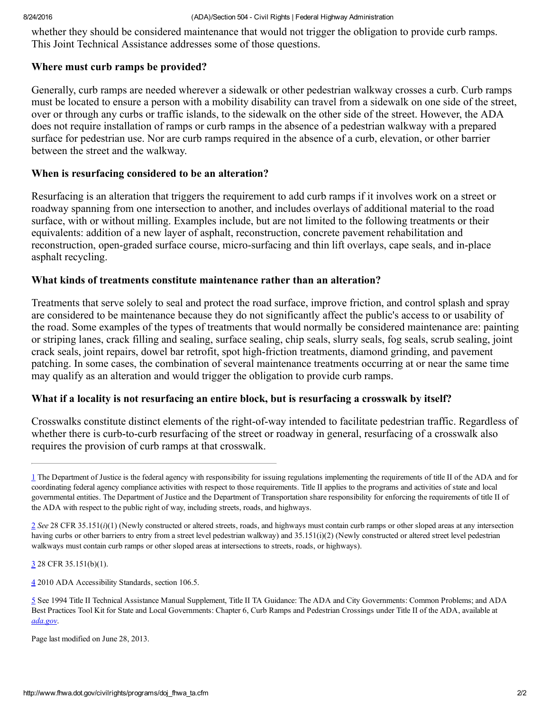whether they should be considered maintenance that would not trigger the obligation to provide curb ramps. This Joint Technical Assistance addresses some of those questions.

#### Where must curb ramps be provided?

Generally, curb ramps are needed wherever a sidewalk or other pedestrian walkway crosses a curb. Curb ramps must be located to ensure a person with a mobility disability can travel from a sidewalk on one side of the street, over or through any curbs or traffic islands, to the sidewalk on the other side of the street. However, the ADA does not require installation of ramps or curb ramps in the absence of a pedestrian walkway with a prepared surface for pedestrian use. Nor are curb ramps required in the absence of a curb, elevation, or other barrier between the street and the walkway.

#### When is resurfacing considered to be an alteration?

Resurfacing is an alteration that triggers the requirement to add curb ramps if it involves work on a street or roadway spanning from one intersection to another, and includes overlays of additional material to the road surface, with or without milling. Examples include, but are not limited to the following treatments or their equivalents: addition of a new layer of asphalt, reconstruction, concrete pavement rehabilitation and reconstruction, open-graded surface course, micro-surfacing and thin lift overlays, cape seals, and in-place asphalt recycling.

#### What kinds of treatments constitute maintenance rather than an alteration?

Treatments that serve solely to seal and protect the road surface, improve friction, and control splash and spray are considered to be maintenance because they do not significantly affect the public's access to or usability of the road. Some examples of the types of treatments that would normally be considered maintenance are: painting or striping lanes, crack filling and sealing, surface sealing, chip seals, slurry seals, fog seals, scrub sealing, joint crack seals, joint repairs, dowel bar retrofit, spot high-friction treatments, diamond grinding, and pavement patching. In some cases, the combination of several maintenance treatments occurring at or near the same time may qualify as an alteration and would trigger the obligation to provide curb ramps.

#### What if a locality is not resurfacing an entire block, but is resurfacing a crosswalk by itself?

Crosswalks constitute distinct elements of the right-of-way intended to facilitate pedestrian traffic. Regardless of whether there is curb-to-curb resurfacing of the street or roadway in general, resurfacing of a crosswalk also requires the provision of curb ramps at that crosswalk.

<span id="page-1-2"></span>[3](#page-0-2) 28 CFR 35.151(b)(1).

<span id="page-1-3"></span>[4](#page-0-3) 2010 ADA Accessibility Standards, section 106.5.

Page last modified on June 28, 2013.

<span id="page-1-0"></span>[<sup>1</sup>](#page-0-0) The Department of Justice is the federal agency with responsibility for issuing regulations implementing the requirements of title II of the ADA and for coordinating federal agency compliance activities with respect to those requirements. Title II applies to the programs and activities of state and local governmental entities. The Department of Justice and the Department of Transportation share responsibility for enforcing the requirements of title II of the ADA with respect to the public right of way, including streets, roads, and highways.

<span id="page-1-1"></span>[<sup>2</sup>](#page-0-1) See 28 CFR 35.151(i)(1) (Newly constructed or altered streets, roads, and highways must contain curb ramps or other sloped areas at any intersection having curbs or other barriers to entry from a street level pedestrian walkway) and 35.151(i)(2) (Newly constructed or altered street level pedestrian walkways must contain curb ramps or other sloped areas at intersections to streets, roads, or highways).

<span id="page-1-4"></span>[<sup>5</sup>](#page-0-4) See 1994 Title II Technical Assistance Manual Supplement, Title II TA Guidance: The ADA and City Governments: Common Problems; and ADA Best Practices Tool Kit for State and Local Governments: Chapter 6, Curb Ramps and Pedestrian Crossings under Title II of the ADA, available at [ada.gov](http://www.ada.gov/).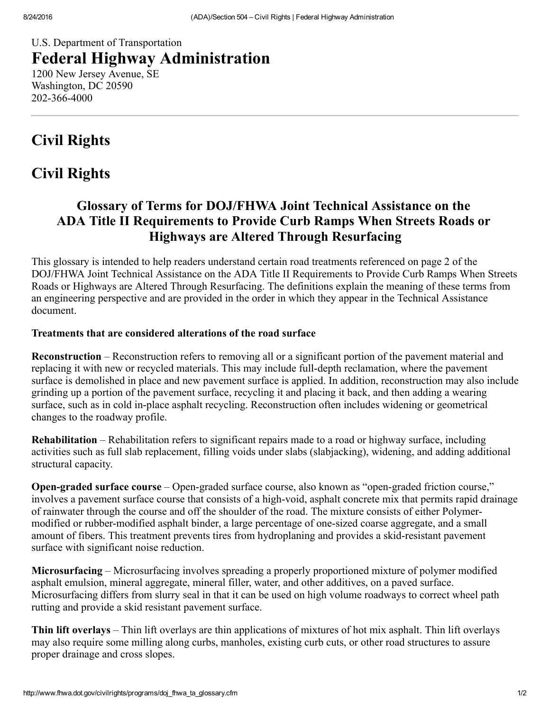U.S. Department of Transportation Federal Highway Administration 1200 New Jersey Avenue, SE Washington, DC 20590 2023664000

# Civil Rights

# Civil Rights

## Glossary of Terms for DOJ/FHWA Joint Technical Assistance on the ADA Title II Requirements to Provide Curb Ramps When Streets Roads or Highways are Altered Through Resurfacing

This glossary is intended to help readers understand certain road treatments referenced on page 2 of the DOJ/FHWA Joint Technical Assistance on the ADA Title II Requirements to Provide Curb Ramps When Streets Roads or Highways are Altered Through Resurfacing. The definitions explain the meaning of these terms from an engineering perspective and are provided in the order in which they appear in the Technical Assistance document.

### Treatments that are considered alterations of the road surface

Reconstruction – Reconstruction refers to removing all or a significant portion of the pavement material and replacing it with new or recycled materials. This may include full-depth reclamation, where the pavement surface is demolished in place and new pavement surface is applied. In addition, reconstruction may also include grinding up a portion of the pavement surface, recycling it and placing it back, and then adding a wearing surface, such as in cold in-place asphalt recycling. Reconstruction often includes widening or geometrical changes to the roadway profile.

Rehabilitation – Rehabilitation refers to significant repairs made to a road or highway surface, including activities such as full slab replacement, filling voids under slabs (slabjacking), widening, and adding additional structural capacity.

**Open-graded surface course** – Open-graded surface course, also known as "open-graded friction course," involves a pavement surface course that consists of a high-void, asphalt concrete mix that permits rapid drainage of rainwater through the course and off the shoulder of the road. The mixture consists of either Polymermodified or rubber-modified asphalt binder, a large percentage of one-sized coarse aggregate, and a small amount of fibers. This treatment prevents tires from hydroplaning and provides a skidresistant pavement surface with significant noise reduction.

Microsurfacing – Microsurfacing involves spreading a properly proportioned mixture of polymer modified asphalt emulsion, mineral aggregate, mineral filler, water, and other additives, on a paved surface. Microsurfacing differs from slurry seal in that it can be used on high volume roadways to correct wheel path rutting and provide a skid resistant pavement surface.

Thin lift overlays – Thin lift overlays are thin applications of mixtures of hot mix asphalt. Thin lift overlays may also require some milling along curbs, manholes, existing curb cuts, or other road structures to assure proper drainage and cross slopes.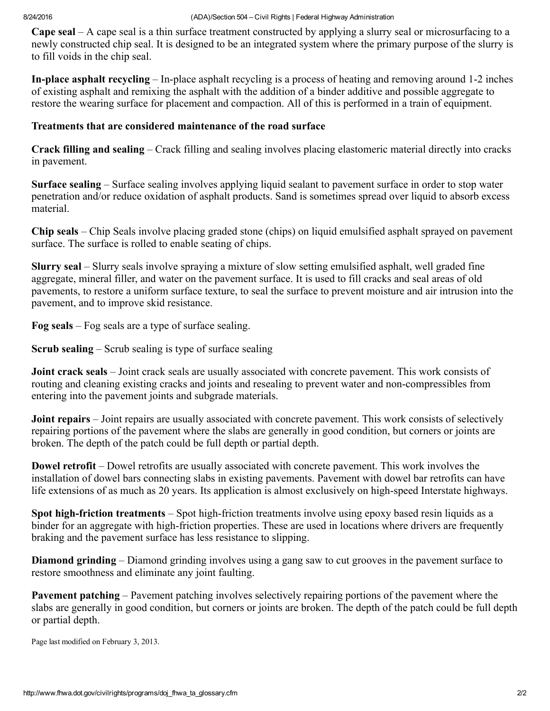Cape seal – A cape seal is a thin surface treatment constructed by applying a slurry seal or microsurfacing to a newly constructed chip seal. It is designed to be an integrated system where the primary purpose of the slurry is to fill voids in the chip seal.

In-place asphalt recycling – In-place asphalt recycling is a process of heating and removing around 1-2 inches of existing asphalt and remixing the asphalt with the addition of a binder additive and possible aggregate to restore the wearing surface for placement and compaction. All of this is performed in a train of equipment.

#### Treatments that are considered maintenance of the road surface

Crack filling and sealing – Crack filling and sealing involves placing elastomeric material directly into cracks in pavement.

Surface sealing – Surface sealing involves applying liquid sealant to pavement surface in order to stop water penetration and/or reduce oxidation of asphalt products. Sand is sometimes spread over liquid to absorb excess material.

Chip seals – Chip Seals involve placing graded stone (chips) on liquid emulsified asphalt sprayed on pavement surface. The surface is rolled to enable seating of chips.

Slurry seal – Slurry seals involve spraying a mixture of slow setting emulsified asphalt, well graded fine aggregate, mineral filler, and water on the pavement surface. It is used to fill cracks and seal areas of old pavements, to restore a uniform surface texture, to seal the surface to prevent moisture and air intrusion into the pavement, and to improve skid resistance.

Fog seals – Fog seals are a type of surface sealing.

Scrub sealing – Scrub sealing is type of surface sealing

Joint crack seals – Joint crack seals are usually associated with concrete pavement. This work consists of routing and cleaning existing cracks and joints and resealing to prevent water and noncompressibles from entering into the pavement joints and subgrade materials.

Joint repairs – Joint repairs are usually associated with concrete pavement. This work consists of selectively repairing portions of the pavement where the slabs are generally in good condition, but corners or joints are broken. The depth of the patch could be full depth or partial depth.

Dowel retrofit – Dowel retrofits are usually associated with concrete pavement. This work involves the installation of dowel bars connecting slabs in existing pavements. Pavement with dowel bar retrofits can have life extensions of as much as 20 years. Its application is almost exclusively on high-speed Interstate highways.

Spot high-friction treatments – Spot high-friction treatments involve using epoxy based resin liquids as a binder for an aggregate with high-friction properties. These are used in locations where drivers are frequently braking and the pavement surface has less resistance to slipping.

Diamond grinding – Diamond grinding involves using a gang saw to cut grooves in the pavement surface to restore smoothness and eliminate any joint faulting.

Pavement patching – Pavement patching involves selectively repairing portions of the pavement where the slabs are generally in good condition, but corners or joints are broken. The depth of the patch could be full depth or partial depth.

Page last modified on February 3, 2013.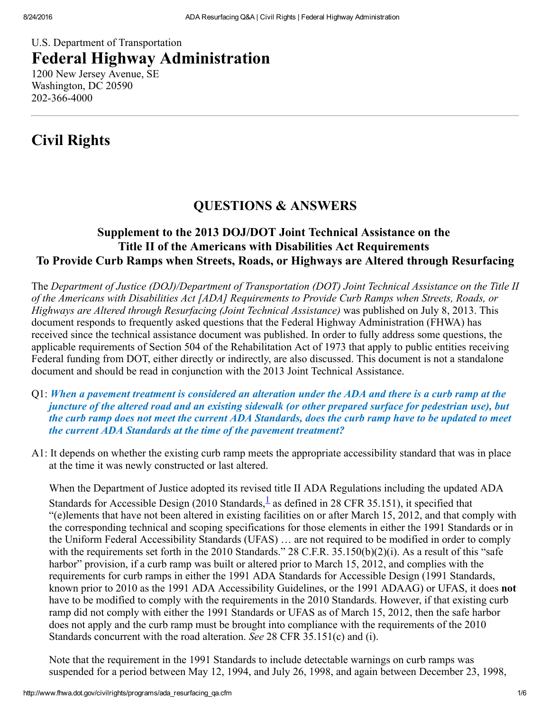U.S. Department of Transportation Federal Highway Administration 1200 New Jersey Avenue, SE Washington, DC 20590 2023664000

# Civil Rights

## QUESTIONS & ANSWERS

## Supplement to the 2013 DOJ/DOT Joint Technical Assistance on the Title II of the Americans with Disabilities Act Requirements To Provide Curb Ramps when Streets, Roads, or Highways are Altered through Resurfacing

The Department of Justice (DOJ)/Department of Transportation (DOT) Joint Technical Assistance on the Title II of the Americans with Disabilities Act [ADA] Requirements to Provide Curb Ramps when Streets, Roads, or Highways are Altered through Resurfacing (Joint Technical Assistance) was published on July 8, 2013. This document responds to frequently asked questions that the Federal Highway Administration (FHWA) has received since the technical assistance document was published. In order to fully address some questions, the applicable requirements of Section 504 of the Rehabilitation Act of 1973 that apply to public entities receiving Federal funding from DOT, either directly or indirectly, are also discussed. This document is not a standalone document and should be read in conjunction with the 2013 Joint Technical Assistance.

- Q1: When a pavement treatment is considered an alteration under the ADA and there is a curb ramp at the juncture of the altered road and an existing sidewalk (or other prepared surface for pedestrian use), but the curb ramp does not meet the current ADA Standards, does the curb ramp have to be updated to meet the current ADA Standards at the time of the pavement treatment?
- A1: It depends on whether the existing curb ramp meets the appropriate accessibility standard that was in place at the time it was newly constructed or last altered.

<span id="page-4-0"></span>When the Department of Justice adopted its revised title II ADA Regulations including the updated ADA Standards for Accessible Design (20[1](#page-9-0)0 Standards,  $\frac{1}{2}$  as defined in 28 CFR 35.151), it specified that "(e)lements that have not been altered in existing facilities on or after March 15, 2012, and that comply with the corresponding technical and scoping specifications for those elements in either the 1991 Standards or in the Uniform Federal Accessibility Standards (UFAS) … are not required to be modified in order to comply with the requirements set forth in the 2010 Standards." 28 C.F.R. 35.150(b)(2)(i). As a result of this "safe harbor" provision, if a curb ramp was built or altered prior to March 15, 2012, and complies with the requirements for curb ramps in either the 1991 ADA Standards for Accessible Design (1991 Standards, known prior to 2010 as the 1991 ADA Accessibility Guidelines, or the 1991 ADAAG) or UFAS, it does not have to be modified to comply with the requirements in the 2010 Standards. However, if that existing curb ramp did not comply with either the 1991 Standards or UFAS as of March 15, 2012, then the safe harbor does not apply and the curb ramp must be brought into compliance with the requirements of the 2010 Standards concurrent with the road alteration. See 28 CFR 35.151(c) and (i).

Note that the requirement in the 1991 Standards to include detectable warnings on curb ramps was suspended for a period between May 12, 1994, and July 26, 1998, and again between December 23, 1998,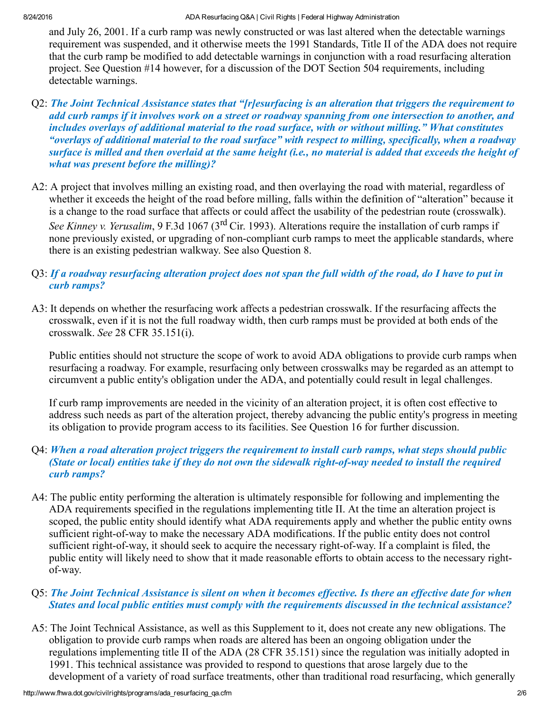and July 26, 2001. If a curb ramp was newly constructed or was last altered when the detectable warnings requirement was suspended, and it otherwise meets the 1991 Standards, Title II of the ADA does not require that the curb ramp be modified to add detectable warnings in conjunction with a road resurfacing alteration project. See Question #14 however, for a discussion of the DOT Section 504 requirements, including detectable warnings.

- Q2: The Joint Technical Assistance states that "[r]esurfacing is an alteration that triggers the requirement to add curb ramps if it involves work on a street or roadway spanning from one intersection to another, and includes overlays of additional material to the road surface, with or without milling." What constitutes "overlays of additional material to the road surface" with respect to milling, specifically, when a roadway surface is milled and then overlaid at the same height (i.e., no material is added that exceeds the height of what was present before the milling)?
- A2: A project that involves milling an existing road, and then overlaying the road with material, regardless of whether it exceeds the height of the road before milling, falls within the definition of "alteration" because it is a change to the road surface that affects or could affect the usability of the pedestrian route (crosswalk). See Kinney v. Yerusalim, 9 F.3d 1067 (3<sup>rd</sup> Cir. 1993). Alterations require the installation of curb ramps if none previously existed, or upgrading of non-compliant curb ramps to meet the applicable standards, where there is an existing pedestrian walkway. See also Question 8.

#### Q3: If a roadway resurfacing alteration project does not span the full width of the road, do I have to put in curb ramps?

A3: It depends on whether the resurfacing work affects a pedestrian crosswalk. If the resurfacing affects the crosswalk, even if it is not the full roadway width, then curb ramps must be provided at both ends of the crosswalk. See 28 CFR 35.151(i).

Public entities should not structure the scope of work to avoid ADA obligations to provide curb ramps when resurfacing a roadway. For example, resurfacing only between crosswalks may be regarded as an attempt to circumvent a public entity's obligation under the ADA, and potentially could result in legal challenges.

If curb ramp improvements are needed in the vicinity of an alteration project, it is often cost effective to address such needs as part of the alteration project, thereby advancing the public entity's progress in meeting its obligation to provide program access to its facilities. See Question 16 for further discussion.

#### Q4: When a road alteration project triggers the requirement to install curb ramps, what steps should public (State or local) entities take if they do not own the sidewalk right-of-way needed to install the required curb ramps?

A4: The public entity performing the alteration is ultimately responsible for following and implementing the ADA requirements specified in the regulations implementing title II. At the time an alteration project is scoped, the public entity should identify what ADA requirements apply and whether the public entity owns sufficient right-of-way to make the necessary ADA modifications. If the public entity does not control sufficient right-of-way, it should seek to acquire the necessary right-of-way. If a complaint is filed, the public entity will likely need to show that it made reasonable efforts to obtain access to the necessary rightof-way.

#### Q5: The Joint Technical Assistance is silent on when it becomes ef ective. Is there an ef ective date for when States and local public entities must comply with the requirements discussed in the technical assistance?

A5: The Joint Technical Assistance, as well as this Supplement to it, does not create any new obligations. The obligation to provide curb ramps when roads are altered has been an ongoing obligation under the regulations implementing title II of the ADA (28 CFR 35.151) since the regulation was initially adopted in 1991. This technical assistance was provided to respond to questions that arose largely due to the development of a variety of road surface treatments, other than traditional road resurfacing, which generally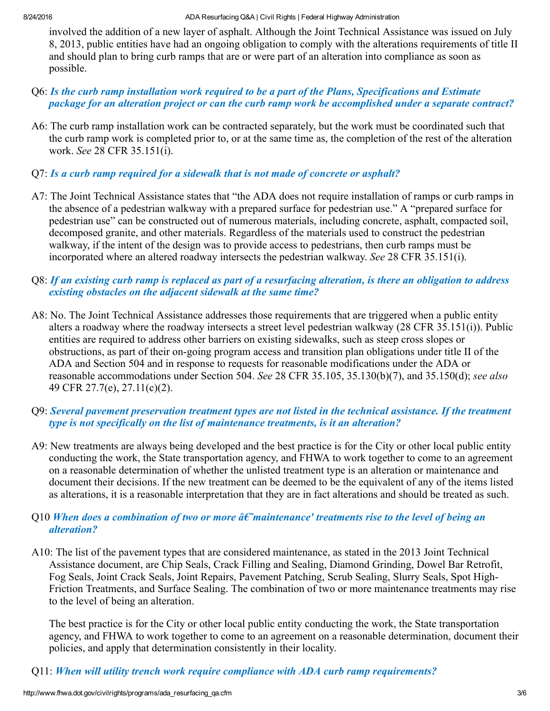involved the addition of a new layer of asphalt. Although the Joint Technical Assistance was issued on July 8, 2013, public entities have had an ongoing obligation to comply with the alterations requirements of title II and should plan to bring curb ramps that are or were part of an alteration into compliance as soon as possible.

#### Q6: Is the curb ramp installation work required to be a part of the Plans, Specifications and Estimate package for an alteration project or can the curb ramp work be accomplished under a separate contract?

A6: The curb ramp installation work can be contracted separately, but the work must be coordinated such that the curb ramp work is completed prior to, or at the same time as, the completion of the rest of the alteration work. See 28 CFR 35.151(i).

#### Q7: Is a curb ramp required for a sidewalk that is not made of concrete or asphalt?

A7: The Joint Technical Assistance states that "the ADA does not require installation of ramps or curb ramps in the absence of a pedestrian walkway with a prepared surface for pedestrian use." A "prepared surface for pedestrian use" can be constructed out of numerous materials, including concrete, asphalt, compacted soil, decomposed granite, and other materials. Regardless of the materials used to construct the pedestrian walkway, if the intent of the design was to provide access to pedestrians, then curb ramps must be incorporated where an altered roadway intersects the pedestrian walkway. See 28 CFR 35.151(i).

#### Q8: If an existing curb ramp is replaced as part of a resurfacing alteration, is there an obligation to address existing obstacles on the adjacent sidewalk at the same time?

A8: No. The Joint Technical Assistance addresses those requirements that are triggered when a public entity alters a roadway where the roadway intersects a street level pedestrian walkway (28 CFR 35.151(i)). Public entities are required to address other barriers on existing sidewalks, such as steep cross slopes or obstructions, as part of their on-going program access and transition plan obligations under title II of the ADA and Section 504 and in response to requests for reasonable modifications under the ADA or reasonable accommodations under Section 504. See 28 CFR 35.105, 35.130(b)(7), and 35.150(d); see also 49 CFR 27.7(e), 27.11(c)(2).

#### Q9: Several pavement preservation treatment types are not listed in the technical assistance. If the treatment type is not specifically on the list of maintenance treatments, is it an alteration?

A9: New treatments are always being developed and the best practice is for the City or other local public entity conducting the work, the State transportation agency, and FHWA to work together to come to an agreement on a reasonable determination of whether the unlisted treatment type is an alteration or maintenance and document their decisions. If the new treatment can be deemed to be the equivalent of any of the items listed as alterations, it is a reasonable interpretation that they are in fact alterations and should be treated as such.

#### Q10 When does a combination of two or more  $\hat{a}\hat{\epsilon}$ "maintenance' treatments rise to the level of being an alteration?

A10: The list of the pavement types that are considered maintenance, as stated in the 2013 Joint Technical Assistance document, are Chip Seals, Crack Filling and Sealing, Diamond Grinding, Dowel Bar Retrofit, Fog Seals, Joint Crack Seals, Joint Repairs, Pavement Patching, Scrub Sealing, Slurry Seals, Spot High-Friction Treatments, and Surface Sealing. The combination of two or more maintenance treatments may rise to the level of being an alteration.

The best practice is for the City or other local public entity conducting the work, the State transportation agency, and FHWA to work together to come to an agreement on a reasonable determination, document their policies, and apply that determination consistently in their locality.

#### Q11: When will utility trench work require compliance with ADA curb ramp requirements?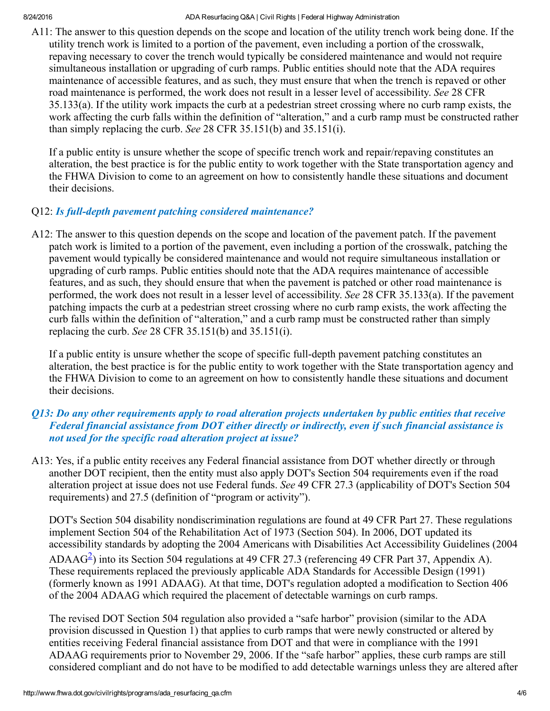#### 8/24/2016 ADA Resurfacing Q&A | Civil Rights | Federal Highway Administration

A11: The answer to this question depends on the scope and location of the utility trench work being done. If the utility trench work is limited to a portion of the pavement, even including a portion of the crosswalk, repaving necessary to cover the trench would typically be considered maintenance and would not require simultaneous installation or upgrading of curb ramps. Public entities should note that the ADA requires maintenance of accessible features, and as such, they must ensure that when the trench is repaved or other road maintenance is performed, the work does not result in a lesser level of accessibility. See 28 CFR 35.133(a). If the utility work impacts the curb at a pedestrian street crossing where no curb ramp exists, the work affecting the curb falls within the definition of "alteration," and a curb ramp must be constructed rather than simply replacing the curb. See 28 CFR 35.151(b) and 35.151(i).

If a public entity is unsure whether the scope of specific trench work and repair/repaving constitutes an alteration, the best practice is for the public entity to work together with the State transportation agency and the FHWA Division to come to an agreement on how to consistently handle these situations and document their decisions.

#### Q12: Is full-depth pavement patching considered maintenance?

A12: The answer to this question depends on the scope and location of the pavement patch. If the pavement patch work is limited to a portion of the pavement, even including a portion of the crosswalk, patching the pavement would typically be considered maintenance and would not require simultaneous installation or upgrading of curb ramps. Public entities should note that the ADA requires maintenance of accessible features, and as such, they should ensure that when the pavement is patched or other road maintenance is performed, the work does not result in a lesser level of accessibility. See 28 CFR 35.133(a). If the pavement patching impacts the curb at a pedestrian street crossing where no curb ramp exists, the work affecting the curb falls within the definition of "alteration," and a curb ramp must be constructed rather than simply replacing the curb. See 28 CFR 35.151(b) and 35.151(i).

If a public entity is unsure whether the scope of specific full-depth pavement patching constitutes an alteration, the best practice is for the public entity to work together with the State transportation agency and the FHWA Division to come to an agreement on how to consistently handle these situations and document their decisions.

#### Q13: Do any other requirements apply to road alteration projects undertaken by public entities that receive Federal financial assistance from DOT either directly or indirectly, even if such financial assistance is not used for the specific road alteration project at issue?

A13: Yes, if a public entity receives any Federal financial assistance from DOT whether directly or through another DOT recipient, then the entity must also apply DOT's Section 504 requirements even if the road alteration project at issue does not use Federal funds. See 49 CFR 27.3 (applicability of DOT's Section 504 requirements) and 27.5 (definition of "program or activity").

<span id="page-7-0"></span>DOT's Section 504 disability nondiscrimination regulations are found at 49 CFR Part 27. These regulations implement Section 504 of the Rehabilitation Act of 1973 (Section 504). In 2006, DOT updated its accessibility standards by adopting the 2004 Americans with Disabilities Act Accessibility Guidelines (2004  $ADAAG<sup>2</sup>$  $ADAAG<sup>2</sup>$  $ADAAG<sup>2</sup>$ ) into its Section 504 regulations at 49 CFR 27.3 (referencing 49 CFR Part 37, Appendix A). These requirements replaced the previously applicable ADA Standards for Accessible Design (1991) (formerly known as 1991 ADAAG). At that time, DOT's regulation adopted a modification to Section 406 of the 2004 ADAAG which required the placement of detectable warnings on curb ramps.

The revised DOT Section 504 regulation also provided a "safe harbor" provision (similar to the ADA provision discussed in Question 1) that applies to curb ramps that were newly constructed or altered by entities receiving Federal financial assistance from DOT and that were in compliance with the 1991 ADAAG requirements prior to November 29, 2006. If the "safe harbor" applies, these curb ramps are still considered compliant and do not have to be modified to add detectable warnings unless they are altered after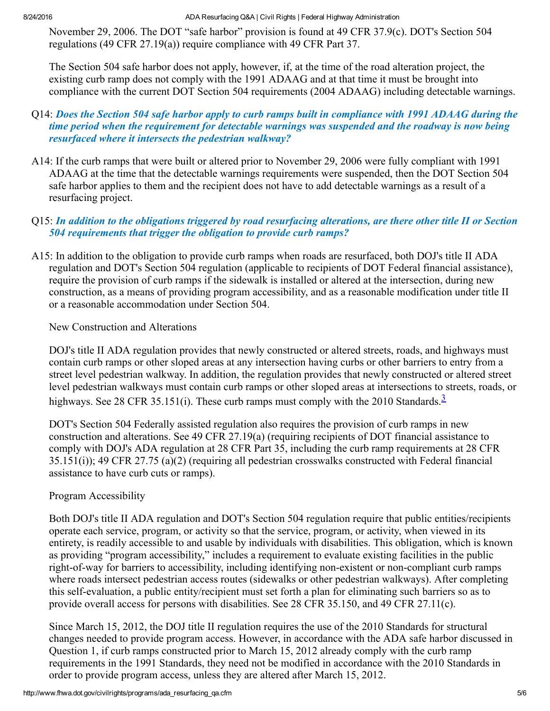8/24/2016 ADA Resurfacing Q&A | Civil Rights | Federal Highway Administration

November 29, 2006. The DOT "safe harbor" provision is found at 49 CFR 37.9(c). DOT's Section 504 regulations (49 CFR 27.19(a)) require compliance with 49 CFR Part 37.

The Section 504 safe harbor does not apply, however, if, at the time of the road alteration project, the existing curb ramp does not comply with the 1991 ADAAG and at that time it must be brought into compliance with the current DOT Section 504 requirements (2004 ADAAG) including detectable warnings.

#### Q14: Does the Section 504 safe harbor apply to curb ramps built in compliance with 1991 ADAAG during the time period when the requirement for detectable warnings was suspended and the roadway is now being resurfaced where it intersects the pedestrian walkway?

A14: If the curb ramps that were built or altered prior to November 29, 2006 were fully compliant with 1991 ADAAG at the time that the detectable warnings requirements were suspended, then the DOT Section 504 safe harbor applies to them and the recipient does not have to add detectable warnings as a result of a resurfacing project.

#### Q15: In addition to the obligations triggered by road resurfacing alterations, are there other title II or Section 504 requirements that trigger the obligation to provide curb ramps?

A15: In addition to the obligation to provide curb ramps when roads are resurfaced, both DOJ's title II ADA regulation and DOT's Section 504 regulation (applicable to recipients of DOT Federal financial assistance), require the provision of curb ramps if the sidewalk is installed or altered at the intersection, during new construction, as a means of providing program accessibility, and as a reasonable modification under title II or a reasonable accommodation under Section 504.

New Construction and Alterations

DOJ's title II ADA regulation provides that newly constructed or altered streets, roads, and highways must contain curb ramps or other sloped areas at any intersection having curbs or other barriers to entry from a street level pedestrian walkway. In addition, the regulation provides that newly constructed or altered street level pedestrian walkways must contain curb ramps or other sloped areas at intersections to streets, roads, or highways. See 28 CFR [3](#page-9-2)5.151(i). These curb ramps must comply with the 2010 Standards. $\frac{3}{2}$ 

<span id="page-8-0"></span>DOT's Section 504 Federally assisted regulation also requires the provision of curb ramps in new construction and alterations. See 49 CFR 27.19(a) (requiring recipients of DOT financial assistance to comply with DOJ's ADA regulation at 28 CFR Part 35, including the curb ramp requirements at 28 CFR 35.151(i)); 49 CFR 27.75 (a)(2) (requiring all pedestrian crosswalks constructed with Federal financial assistance to have curb cuts or ramps).

#### Program Accessibility

Both DOJ's title II ADA regulation and DOT's Section 504 regulation require that public entities/recipients operate each service, program, or activity so that the service, program, or activity, when viewed in its entirety, is readily accessible to and usable by individuals with disabilities. This obligation, which is known as providing "program accessibility," includes a requirement to evaluate existing facilities in the public right-of-way for barriers to accessibility, including identifying non-existent or non-compliant curb ramps where roads intersect pedestrian access routes (sidewalks or other pedestrian walkways). After completing this selfevaluation, a public entity/recipient must set forth a plan for eliminating such barriers so as to provide overall access for persons with disabilities. See 28 CFR 35.150, and 49 CFR 27.11(c).

Since March 15, 2012, the DOJ title II regulation requires the use of the 2010 Standards for structural changes needed to provide program access. However, in accordance with the ADA safe harbor discussed in Question 1, if curb ramps constructed prior to March 15, 2012 already comply with the curb ramp requirements in the 1991 Standards, they need not be modified in accordance with the 2010 Standards in order to provide program access, unless they are altered after March 15, 2012.